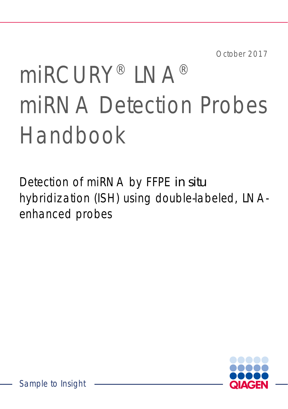October 2017

# miRCURY® LNA® miRNA Detection Probes Handbook

Detection of miRNA by FFPE *in situ* hybridization (ISH) using double-labeled, LNAenhanced probes

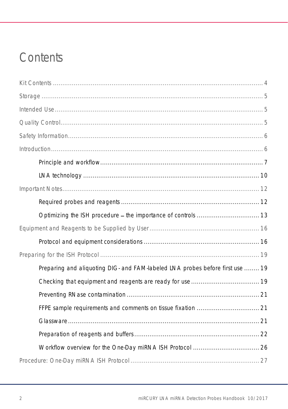# Contents

| Preparing and aliquoting DIG- and FAM-labeled LNA probes before first use  19 |
|-------------------------------------------------------------------------------|
|                                                                               |
|                                                                               |
|                                                                               |
|                                                                               |
|                                                                               |
|                                                                               |
|                                                                               |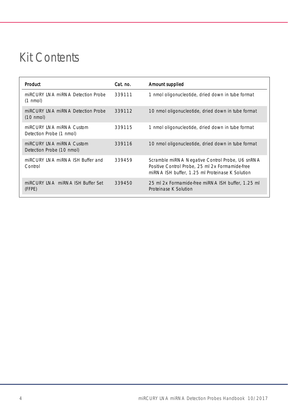# <span id="page-3-0"></span>Kit Contents

| Product                                                  | Cat. no. | Amount supplied                                                                                                                                       |
|----------------------------------------------------------|----------|-------------------------------------------------------------------------------------------------------------------------------------------------------|
| miRCURY INA miRNA Detection Probe<br>$(1 \text{ nmol})$  | 339111   | 1 nmol oligonucleotide, dried down in tube format                                                                                                     |
| miRCURY INA miRNA Detection Probe<br>$(10 \text{ nmol})$ | 339112   | 10 nmol oligonucleotide, dried down in tube format                                                                                                    |
| miRCURY INA miRNA Custom<br>Detection Probe (1 nmol)     | 339115   | 1 nmol oligonucleotide, dried down in tube format                                                                                                     |
| miRCURY INA miRNA Custom<br>Detection Probe (10 nmol)    | 339116   | 10 nmol oligonucleotide, dried down in tube format                                                                                                    |
| miRCURY INA miRNA ISH Buffer and<br>Control              | 339459   | Scramble miRNA Negative Control Probe, U6 snRNA<br>Positive Control Probe, 25 ml 2x Formamide-free<br>miRNA ISH buffer, 1.25 ml Proteinase K Solution |
| miRCURY INA miRNA ISH Buffer Set<br>(FFPE)               | 339450   | 25 ml 2x Formamide free miRNA ISH buffer, 1.25 ml<br>Proteinase K Solution                                                                            |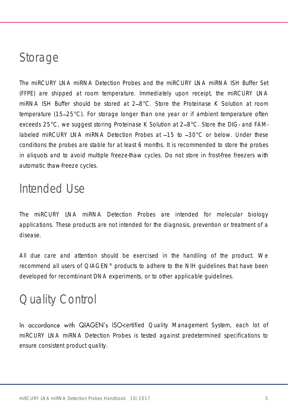# <span id="page-4-0"></span>Storage

The miRCURY LNA miRNA Detection Probes and the miRCURY LNA miRNA ISH Buffer Set (FFPE) are shipped at room temperature. Immediately upon receipt, the miRCURY LNA miRNA ISH Buffer should be stored at  $2-8^{\circ}$ C. Store the Proteinase K Solution at room temperature (15 25°C). For storage longer than one year or if ambient temperature often exceeds 25°C, we suggest storing Proteinase K Solution at 2–8°C. Store the DIG- and FAMlabeled miRCURY LNA miRNA Detection Probes at  $-15$  to  $-30^{\circ}$ C or below. Under these conditions the probes are stable for at least 6 months. It is recommended to store the probes in aliquots and to avoid multiple freeze-thaw cycles. Do not store in frost-free freezers with automatic thaw-freeze cycles.

# <span id="page-4-1"></span>Intended Use

The miRCURY LNA miRNA Detection Probes are intended for molecular biology applications. These products are not intended for the diagnosis, prevention or treatment of a disease.

All due care and attention should be exercised in the handling of the product. We recommend all users of QIAGEN® products to adhere to the NIH guidelines that have been developed for recombinant DNA experiments, or to other applicable guidelines.

# <span id="page-4-2"></span>Quality Control

In accordance with QIAGEN's ISO-certified Quality Management System, each lot of miRCURY LNA miRNA Detection Probes is tested against predetermined specifications to ensure consistent product quality.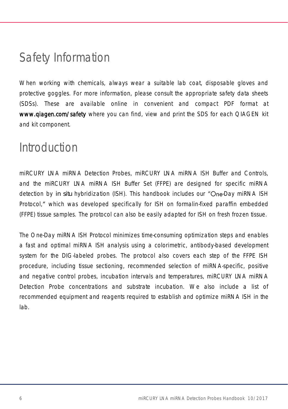# <span id="page-5-0"></span>Safety Information

When working with chemicals, always wear a suitable lab coat, disposable gloves and protective goggles. For more information, please consult the appropriate safety data sheets (SDSs). These are available online in convenient and compact PDF format at [www.qiagen.com/safety](http://www.qiagen.com/safety) where you can find, view and print the SDS for each QIAGEN kit and kit component.

# <span id="page-5-1"></span>Introduction

miRCURY LNA miRNA Detection Probes, miRCURY LNA miRNA ISH Buffer and Controls, and the miRCURY LNA miRNA ISH Buffer Set (FFPE) are designed for specific miRNA detection by *in situ* hybridization (ISH). This handbook includes our "One-Day miRNA ISH Protocol," which was developed specifically for ISH on formalin-fixed paraffin embedded (FFPE) tissue samples. The protocol can also be easily adapted for ISH on fresh frozen tissue.

The One-Day miRNA ISH Protocol minimizes time-consuming optimization steps and enables a fast and optimal miRNA ISH analysis using a colorimetric, antibody-based development system for the DIG-labeled probes. The protocol also covers each step of the FFPE ISH procedure, including tissue sectioning, recommended selection of miRNA-specific, positive and negative control probes, incubation intervals and temperatures, miRCURY LNA miRNA Detection Probe concentrations and substrate incubation. We also include a list of recommended equipment and reagents required to establish and optimize miRNA ISH in the lab.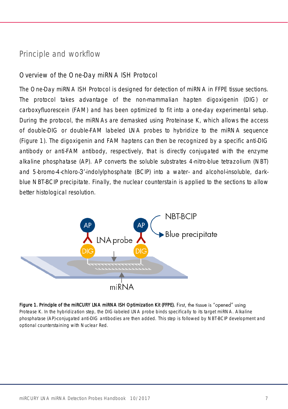### <span id="page-6-0"></span>Principle and workflow

### Overview of the One-Day miRNA ISH Protocol

The One-Day miRNA ISH Protocol is designed for detection of miRNA in FFPE tissue sections. The protocol takes advantage of the non-mammalian hapten digoxigenin (DIG) or carboxyfluorescein (FAM) and has been optimized to fit into a one-day experimental setup. During the protocol, the miRNAs are demasked using Proteinase K, which allows the access of double-DIG or double-FAM labeled LNA probes to hybridize to the miRNA sequence [\(Figure 1\)](#page-6-1). The digoxigenin and FAM haptens can then be recognized by a specific anti-DIG antibody or anti-FAM antibody, respectively, that is directly conjugated with the enzyme alkaline phosphatase (AP). AP converts the soluble substrates 4-nitro-blue tetrazolium (NBT) and 5-bromo-4-chloro-3'-indolylphosphate (BCIP) into a water- and alcohol-insoluble, darkblue NBT-BCIP precipitate. Finally, the nuclear counterstain is applied to the sections to allow better histological resolution.



<span id="page-6-1"></span>Figure 1. Principle of the miRCURY LNA miRNA ISH Optimization Kit (FFPE). First, the tissue is "opened" using Protease K. In the hybridization step, the DIG-labeled LNA probe binds specifically to its target miRNA. Alkaline phosphatase (AP)-conjugated anti-DIG antibodies are then added. This step is followed by NBT-BCIP development and optional counterstaining with Nuclear Red.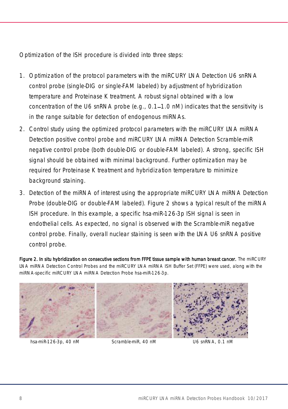Optimization of the ISH procedure is divided into three steps:

- 1. Optimization of the protocol parameters with the miRCURY LNA Detection U6 snRNA control probe (single-DIG or single-FAM labeled) by adjustment of hybridization temperature and Proteinase K treatment. A robust signal obtained with a low concentration of the U6 snRNA probe (e.g., 0.1-1.0 nM) indicates that the sensitivity is in the range suitable for detection of endogenous miRNAs.
- 2. Control study using the optimized protocol parameters with the miRCURY LNA miRNA Detection positive control probe and miRCURY LNA miRNA Detection Scramble-miR negative control probe (both double-DIG or double-FAM labeled). A strong, specific ISH signal should be obtained with minimal background. Further optimization may be required for Proteinase K treatment and hybridization temperature to minimize background staining.
- 3. Detection of the miRNA of interest using the appropriate miRCURY LNA miRNA Detection Probe (double-DIG or double-FAM labeled). [Figure 2](#page-7-0) shows a typical result of the miRNA ISH procedure. In this example, a specific hsa-miR-126-3p ISH signal is seen in endothelial cells. As expected, no signal is observed with the Scramble-miR negative control probe. Finally, overall nuclear staining is seen with the LNA U6 snRNA positive control probe.

<span id="page-7-0"></span>Figure 2. In situ hybridization on consecutive sections from FFPE tissue sample with human breast cancer. The miRCURY LNA miRNA Detection Control Probes and the miRCURY LNA miRNA ISH Buffer Set (FFPE) were used, along with the miRNA-specific miRCURY LNA miRNA Detection Probe hsa-miR-126-3p.



hsa-miR-126-3p, 40 nM Scramble-miR, 40 nM U6 snRNA, 0.1 nM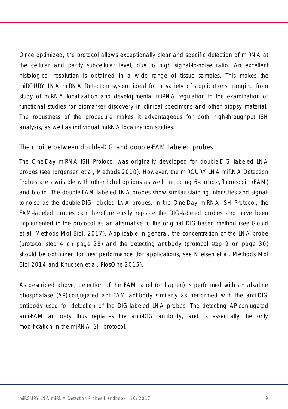Once optimized, the protocol allows exceptionally clear and specific detection of miRNA at the cellular and partly subcellular level, due to high signal-to-noise ratio. An excellent histological resolution is obtained in a wide range of tissue samples. This makes the miRCURY LNA miRNA Detection system ideal for a variety of applications, ranging from study of miRNA localization and developmental miRNA regulation to the examination of functional studies for biomarker discovery in clinical specimens and other biopsy material. The robustness of the procedure makes it advantageous for both high-throughput ISH analysis, as well as individual miRNA localization studies.

### The choice between double-DIG and double-FAM labeled probes

The One-Day miRNA ISH Protocol was originally developed for double-DIG labeled LNA probes (see Jorgensen et al, Methods 2010). However, the miRCURY LNA miRNA Detection Probes are available with other label options as well, including 6-carboxyfluorescein (FAM) and biotin. The double-FAM labeled LNA probes show similar staining intensities and signalto-noise as the double-DIG labeled LNA probes. In the One-Day miRNA ISH Protocol, the FAM-labeled probes can therefore easily replace the DIG-labeled probes and have been implemented in the protocol as an alternative to the original DIG-based method (see Gould et al, Methods Mol Biol. 2017). Applicable in general, the concentration of the LNA probe (protocol step [4](#page-27-1) on page [28\)](#page-27-1) and the detecting antibody (protocol step [9](#page-29-0) on page [30\)](#page-29-0) should be optimized for best performance (for applications, see Nielsen et al, Methods Mol Biol 2014 and Knudsen et al, PlosOne 2015).

As described above, detection of the FAM label (or hapten) is performed with an alkaline phosphatase (AP)-conjugated anti-FAM antibody similarly as performed with the anti-DIG antibody used for detection of the DIG-labeled LNA probes. The detecting AP-conjugated anti-FAM antibody thus replaces the anti-DIG antibody, and is essentially the only modification in the miRNA ISH protocol.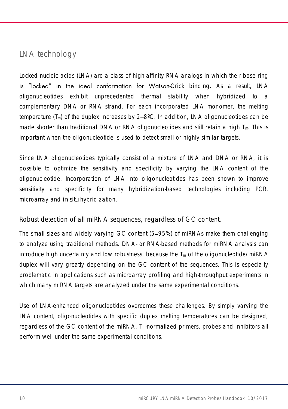# <span id="page-9-0"></span>LNA technology

Locked nucleic acids (LNA) are a class of high-affinity RNA analogs in which the ribose ring is "locked" in the ideal conformation for Watson-Crick binding. As a result, LNA oligonucleotides exhibit unprecedented thermal stability when hybridized to a complementary DNA or RNA strand. For each incorporated LNA monomer, the melting temperature  $(T_m)$  of the duplex increases by 2–8°C. In addition, LNA oligonucleotides can be made shorter than traditional DNA or RNA oligonucleotides and still retain a high  $T_m$ . This is important when the oligonucleotide is used to detect small or highly similar targets.

Since LNA oligonucleotides typically consist of a mixture of LNA and DNA or RNA, it is possible to optimize the sensitivity and specificity by varying the LNA content of the oligonucleotide. Incorporation of LNA into oligonucleotides has been shown to improve sensitivity and specificity for many hybridization-based technologies including PCR, microarray and *in situ* hybridization.

Robust detection of all miRNA sequences, regardless of GC content.

The small sizes and widely varying GC content (5–95%) of miRNAs make them challenging to analyze using traditional methods. DNA- or RNA-based methods for miRNA analysis can introduce high uncertainty and low robustness, because the  $T_m$  of the oligonucleotide/miRNA duplex will vary greatly depending on the GC content of the sequences. This is especially problematic in applications such as microarray profiling and high-throughput experiments in which many miRNA targets are analyzed under the same experimental conditions.

Use of LNA-enhanced oligonucleotides overcomes these challenges. By simply varying the LNA content, oligonucleotides with specific duplex melting temperatures can be designed, regardless of the GC content of the miRNA.  $T_m$ -normalized primers, probes and inhibitors all perform well under the same experimental conditions.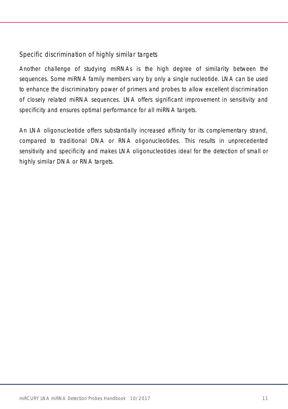### Specific discrimination of highly similar targets

Another challenge of studying miRNAs is the high degree of similarity between the sequences. Some miRNA family members vary by only a single nucleotide. LNA can be used to enhance the discriminatory power of primers and probes to allow excellent discrimination of closely related miRNA sequences. LNA offers significant improvement in sensitivity and specificity and ensures optimal performance for all miRNA targets.

An LNA oligonucleotide offers substantially increased affinity for its complementary strand, compared to traditional DNA or RNA oligonucleotides. This results in unprecedented sensitivity and specificity and makes LNA oligonucleotides ideal for the detection of small or highly similar DNA or RNA targets.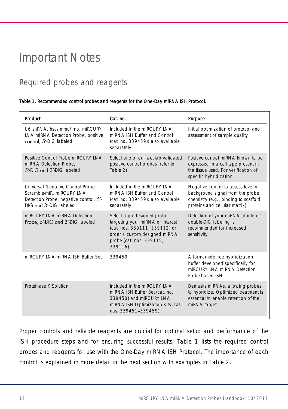# <span id="page-11-0"></span>Important Notes

# <span id="page-11-1"></span>Required probes and reagents

#### <span id="page-11-2"></span>Table 1. Recommended control probes and reagents for the One-Day miRNA ISH Protocol.

| Product                                                                                                                           | Cat. no.                                                                                                                                                                | Purpose                                                                                                                                          |
|-----------------------------------------------------------------------------------------------------------------------------------|-------------------------------------------------------------------------------------------------------------------------------------------------------------------------|--------------------------------------------------------------------------------------------------------------------------------------------------|
| U6 snRNA, hsa/mmu/rno, miRCURY<br>LNA miRNA Detection Probe, positive<br>control, 5'-DIG labeled                                  | Included in the miRCURY INA<br>miRNA ISH Buffer and Control<br>(cat. no. 339459); also available<br>separately                                                          | Initial optimization of protocol and<br>assessment of sample quality                                                                             |
| Positive Control Probe miRCURY INA<br>miRNA Detection Probe.<br>5'-DIG and 3'-DIG labeled                                         | Select one of our wet-lab validated<br>positive control probes (refer to<br>Table 2)                                                                                    | Positive control miRNA known to be<br>expressed in a cell type present in<br>the tissue used. For verification of<br>specific hybridization      |
| Universal Negative Control Probe<br>Scramble-miR, miRCURY LNA<br>Detection Probe, negative control, 5'-<br>DIG and 3'-DIG labeled | Included in the miRCURY INA<br>miRNA ISH Buffer and Control<br>(cat. no. 339459); also available<br>separately                                                          | Negative control to assess level of<br>background signal from the probe<br>chemistry (e.g., binding to scaffold<br>proteins and cellular matrix) |
| miRCURY INA miRNA Detection<br>Probe, 5'-DIG and 3'-DIG labeled                                                                   | Select a predesigned probe<br>targeting your miRNA of interest<br>(cat. nos. 339111, 339112) or<br>order a custom designed miRNA<br>probe (cat. nos. 339115,<br>339116) | Detection of your miRNA of interest;<br>double-DIG labeling is<br>recommended for increased<br>sensitivity                                       |
| miRCURY I NA miRNA ISH Buffer Set                                                                                                 | 339450                                                                                                                                                                  | A formamide-free hybridization<br>buffer developed specifically for<br>miRCURY INA miRNA Detection<br>Probe-based ISH                            |
| Proteinase K Solution                                                                                                             | Included in the miRCURY INA<br>miRNA ISH Buffer Set (cat. no.<br>339450) and miRCURY LNA<br>miRNA ISH Optimization Kits (cat.<br>nos. 339451-339459)                    | Demasks miRNAs, allowing probes<br>to hybridize. Optimized treatment is<br>essential to enable retention of the<br>miRNA target                  |

Proper controls and reliable reagents are crucial for optimal setup and performance of the ISH procedure steps and for ensuring successful results. [Table 1](#page-11-2) lists the required control probes and reagents for use with the One-Day miRNA ISH Protocol. The importance of each control is explained in more detail in the next section with examples in [Table 2.](#page-14-0)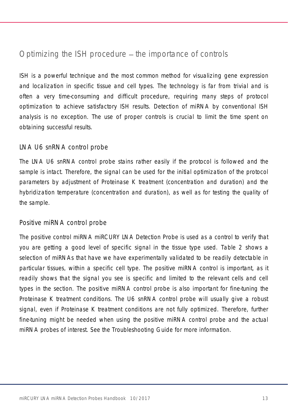### <span id="page-12-0"></span>Optimizing the ISH procedure  $-$  the importance of controls

ISH is a powerful technique and the most common method for visualizing gene expression and localization in specific tissue and cell types. The technology is far from trivial and is often a very time-consuming and difficult procedure, requiring many steps of protocol optimization to achieve satisfactory ISH results. Detection of miRNA by conventional ISH analysis is no exception. The use of proper controls is crucial to limit the time spent on obtaining successful results.

### LNA U6 snRNA control probe

The LNA U6 snRNA control probe stains rather easily if the protocol is followed and the sample is intact. Therefore, the signal can be used for the initial optimization of the protocol parameters by adjustment of Proteinase K treatment (concentration and duration) and the hybridization temperature (concentration and duration), as well as for testing the quality of the sample.

### Positive miRNA control probe

The positive control miRNA miRCURY LNA Detection Probe is used as a control to verify that you are getting a good level of specific signal in the tissue type used. [Table 2](#page-14-0) shows a selection of miRNAs that have we have experimentally validated to be readily detectable in particular tissues, within a specific cell type. The positive miRNA control is important, as it readily shows that the signal you see is specific and limited to the relevant cells and cell types in the section. The positive miRNA control probe is also important for fine-tuning the Proteinase K treatment conditions. The U6 snRNA control probe will usually give a robust signal, even if Proteinase K treatment conditions are not fully optimized. Therefore, further fine-tuning might be needed when using the positive miRNA control probe and the actual miRNA probes of interest. See the [Troubleshooting Guide](#page-31-0) for more information.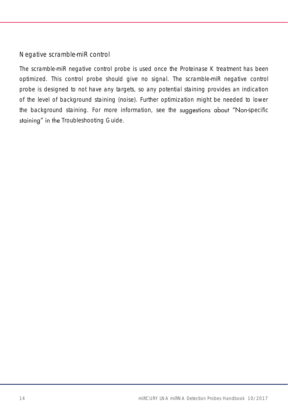### Negative scramble-miR control

The scramble-miR negative control probe is used once the Proteinase K treatment has been optimized. This control probe should give no signal. The scramble-miR negative control probe is designed to not have any targets, so any potential staining provides an indication of the level of background staining (noise). Further optimization might be needed to lower the background staining. For more information, see the suggestions about "Non-specific staining" in the [Troubleshooting Guide.](#page-31-0)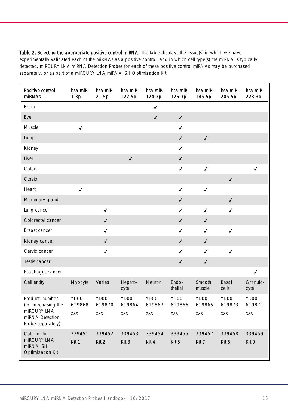<span id="page-14-0"></span>Table 2. Selecting the appropriate positive control miRNA. The table displays the tissue(s) in which we have experimentally validated each of the miRNAs as a positive control, and in which cell type(s) the miRNA is typically detected. miRCURY LNA miRNA Detection Probes for each of these positive control miRNAs may be purchased separately, or as part of a miRCURY LNA miRNA ISH Optimization Kit.

| Positive control<br><b>miRNAs</b>                   | hsa-miR-<br>$1-3p$ | hsa-miR-<br>$21-5p$ | hsa-miR-<br>122-5p | hsa-miR-<br>124-3p | hsa-miR-<br>126-3p | hsa-miR-<br>145-5p | hsa-miR-<br>205-5p | hsa-miR-<br>223-3p |
|-----------------------------------------------------|--------------------|---------------------|--------------------|--------------------|--------------------|--------------------|--------------------|--------------------|
| <b>Brain</b>                                        |                    |                     |                    | $\checkmark$       |                    |                    |                    |                    |
| Eye                                                 |                    |                     |                    | $\checkmark$       | $\checkmark$       |                    |                    |                    |
| Muscle                                              | $\checkmark$       |                     |                    |                    | √                  |                    |                    |                    |
| Lung                                                |                    |                     |                    |                    | √                  | $\checkmark$       |                    |                    |
| Kidney                                              |                    |                     |                    |                    | √                  |                    |                    |                    |
| Liver                                               |                    |                     | $\checkmark$       |                    | $\checkmark$       |                    |                    |                    |
| Colon                                               |                    |                     |                    |                    | $\checkmark$       | $\checkmark$       |                    | √                  |
| Cervix                                              |                    |                     |                    |                    |                    |                    | $\checkmark$       |                    |
| Heart                                               | $\checkmark$       |                     |                    |                    | √                  | $\checkmark$       |                    |                    |
| Mammary gland                                       |                    |                     |                    |                    | $\checkmark$       |                    | $\checkmark$       |                    |
| Lung cancer                                         |                    | $\checkmark$        |                    |                    | √                  | $\checkmark$       | $\checkmark$       |                    |
| Colorectal cancer                                   |                    | $\checkmark$        |                    |                    | √                  | ✓                  |                    |                    |
| Breast cancer                                       |                    | $\checkmark$        |                    |                    | √                  | $\checkmark$       | $\checkmark$       |                    |
| Kidney cancer                                       |                    | $\checkmark$        |                    |                    | ✓                  | ✓                  |                    |                    |
| Cervix cancer                                       |                    | $\checkmark$        |                    |                    | ✓                  | ✓                  | $\checkmark$       |                    |
| Testis cancer                                       |                    |                     |                    |                    | $\checkmark$       | $\checkmark$       |                    |                    |
| Esophagus cancer                                    |                    |                     |                    |                    |                    |                    |                    | $\checkmark$       |
| Cell entity                                         | Myocyte            | Varies              | Hepato-<br>cyte    | Neuron             | Endo-<br>thelial   | Smooth<br>muscle   | Basal<br>cells     | Granulo-<br>cyte   |
| Product. number.<br>(for purchasing the             | YDOO<br>619868-    | YD00<br>619870-     | YD00<br>619864-    | YD00<br>619867-    | YD00<br>619866-    | YD00<br>619865-    | YD00<br>619873-    | YD00<br>619871-    |
| miRCURY LNA<br>miRNA Detection<br>Probe separately) | XXX                | XXX                 | XXX                | XXX                | XXX                | XXX                | XXX                | XXX                |
| Cat. no. for                                        | 339451             | 339452              | 339453             | 339454             | 339455             | 339457             | 339458             | 339459             |
| miRCURY LNA<br>miRNA ISH<br>Optimization Kit        | Kit 1              | Kit 2               | Kit 3              | Kit 4              | Kit 5              | Kit 7              | Kit 8              | Kit 9              |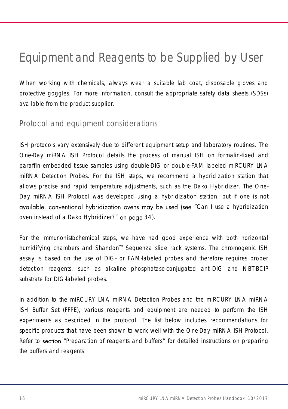# <span id="page-15-0"></span>Equipment and Reagents to be Supplied by User

When working with chemicals, always wear a suitable lab coat, disposable gloves and protective goggles. For more information, consult the appropriate safety data sheets (SDSs) available from the product supplier.

### <span id="page-15-1"></span>Protocol and equipment considerations

ISH protocols vary extensively due to different equipment setup and laboratory routines. The One-Day miRNA ISH Protocol details the process of manual ISH on formalin-fixed and paraffin embedded tissue samples using double-DIG or double-FAM labeled miRCURY LNA miRNA Detection Probes. For the ISH steps, we recommend a hybridization station that allows precise and rapid temperature adjustments, such as the Dako Hybridizer. The One-Day miRNA ISH Protocol was developed using a hybridization station, but if one is not available, conventional hybridization ovens may be used (see "Can I use a hybridization [oven instead of a Dako Hybridizer?](#page-33-0)" on page [34\)](#page-33-0).

For the immunohistochemical steps, we have had good experience with both horizontal humidifying chambers and Shandon<sup>tm</sup> Sequenza slide rack systems. The chromogenic ISH assay is based on the use of DIG- or FAM-labeled probes and therefore requires proper detection reagents, such as alkaline phosphatase-conjugated anti-DIG and NBT-BCIP substrate for DIG-labeled probes.

In addition to the miRCURY LNA miRNA Detection Probes and the miRCURY LNA miRNA ISH Buffer Set (FFPE), various reagents and equipment are needed to perform the ISH experiments as described in the protocol. The list below includes recommendations for specific products that have been shown to work well with the One-Day miRNA ISH Protocol. Refer to section "[Preparation of reagents and buffers](#page-21-0)" for detailed instructions on preparing the buffers and reagents.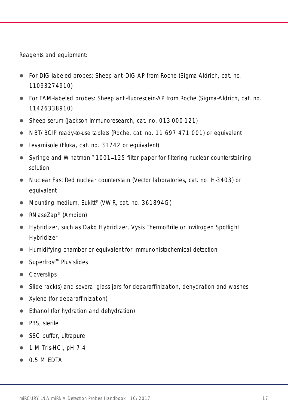Reagents and equipment:

- For DIG-labeled probes: Sheep anti-DIG-AP from Roche (Sigma-Aldrich, cat. no. 11093274910)
- For FAM-labeled probes: Sheep anti-fluorescein-AP from Roche (Sigma-Aldrich, cat. no. 11426338910)
- Sheep serum (Jackson Immunoresearch, cat. no. 013-000-121)
- NBT/BCIP ready-to-use tablets (Roche, cat. no. 11 697 471 001) or equivalent
- Levamisole (Fluka, cat. no. 31742 or equivalent)
- Syringe and Whatman<sup>™</sup> 1001–125 filter paper for filtering nuclear counterstaining solution
- Nuclear Fast Red nuclear counterstain (Vector laboratories, cat. no. H-3403) or equivalent
- Mounting medium, Eukitt® (VWR, cat. no. 361894G)
- RNaseZap<sup>®</sup> (Ambion)
- Hybridizer, such as Dako Hybridizer, Vysis ThermoBrite or Invitrogen Spotlight Hybridizer
- Humidifying chamber or equivalent for immunohistochemical detection
- $\bullet$  Superfrost<sup> $m$ </sup> Plus slides
- Coverslips
- Slide rack(s) and several glass jars for deparaffinization, dehydration and washes
- Xylene (for deparaffinization)
- Ethanol (for hydration and dehydration)
- PBS, sterile
- SSC buffer, ultrapure
- $\bullet$  1 M Tris-HCl, pH 7.4
- 0.5 M EDTA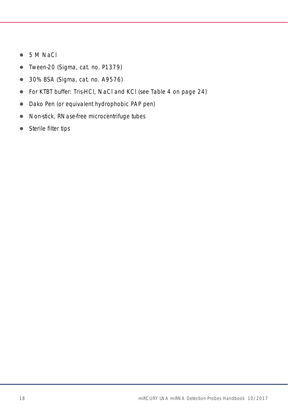- 5 M NaCl
- Tween-20 (Sigma, cat. no. P1379)
- 30% BSA (Sigma, cat. no. A9576)
- For KTBT buffer: Tris-HCl, NaCl and KCl (see [Table 4](#page-22-0) on page [24\)](#page-23-0)
- Dako Pen (or equivalent hydrophobic PAP pen)
- Non-stick, RNase-free microcentrifuge tubes
- Sterile filter tips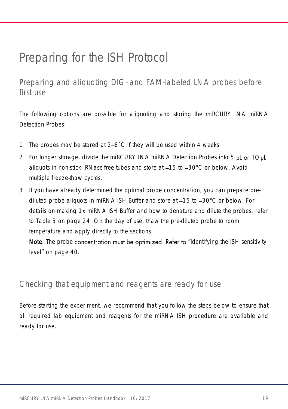# <span id="page-18-0"></span>Preparing for the ISH Protocol

<span id="page-18-1"></span>Preparing and aliquoting DIG- and FAM-labeled LNA probes before first use

The following options are possible for aliquoting and storing the miRCURY LNA miRNA Detection Probes:

- 1. The probes may be stored at  $2-8^{\circ}$ C if they will be used within 4 weeks.
- 2. For longer storage, divide the miRCURY LNA miRNA Detection Probes into 5  $\nu$ L or 10  $\nu$ L aliquots in non-stick, RNase-free tubes and store at  $-15$  to  $-30^{\circ}$ C or below. Avoid multiple freeze-thaw cycles.
- 3. If you have already determined the optimal probe concentration, you can prepare prediluted probe aliquots in miRNA ISH Buffer and store at -15 to -30°C or below. For details on making 1x miRNA ISH Buffer and how to denature and dilute the probes, refer to [Table 5](#page-23-0) on page [24.](#page-23-0) On the day of use, thaw the pre-diluted probe to room temperature and apply directly to the sections.

Note: The probe concentration must be optimized. Refer to "[Identifying the](#page-39-0) ISH sensitivity [level](#page-39-0)" on page [40.](#page-39-1)

### <span id="page-18-2"></span>Checking that equipment and reagents are ready for use

Before starting the experiment, we recommend that you follow the steps below to ensure that all required lab equipment and reagents for the miRNA ISH procedure are available and ready for use.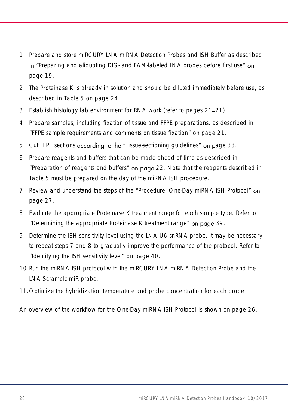- 1. Prepare and store miRCURY LNA miRNA Detection Probes and ISH Buffer as described in "Preparing and aliquoting DIG- [and FAM-labeled LNA probes before first use](#page-18-1)" on page [19.](#page-18-1)
- 2. The Proteinase K is already in solution and should be diluted immediately before use, as described in [Table 5](#page-23-0) on page [24.](#page-23-0)
- 3. Establish histology lab environment for RNA work (refer to pages [21](#page-20-0)-[21\)](#page-20-1).
- 4. Prepare samples, including fixation of tissue and FFPE preparations, as described in "[FFPE sample requirements and comments on tissue fixation](#page-20-1)" on page [21.](#page-20-1)
- 5. Cut FFPE sections according to the "[Tissue-sectioning guidelines](#page-37-1)" on page [38.](#page-37-1)
- 6. Prepare reagents and buffers that can be made ahead of time as described in "[Preparation of reagents and buffers](#page-21-0)" on page [22.](#page-21-0) Note that the reagents described in [Table 5](#page-23-0) must be prepared on the day of the miRNA ISH procedure.
- <span id="page-19-0"></span>7. Review and understand the steps of the "[Procedure: One-Day miRNA ISH Protocol](#page-26-0)" on page [27.](#page-26-0)
- <span id="page-19-1"></span>8. Evaluate the appropriate Proteinase K treatment range for each sample type. Refer to "Determining [the appropriate Proteinase K](#page-38-0) treatment range" on page [39.](#page-38-0)
- 9. Determine the ISH sensitivity level using the LNA U6 snRNA probe. It may be necessary to repeat steps [7](#page-19-0) and [8](#page-19-1) to gradually improve the performance of the protocol. Refer to "Identifying the [ISH sensitivity level](#page-39-0)" on page [40.](#page-39-1)
- 10.Run the miRNA ISH protocol with the miRCURY LNA miRNA Detection Probe and the LNA Scramble-miR probe.
- 11.Optimize the hybridization temperature and probe concentration for each probe.

An overview of the workflow for the One-Day miRNA ISH Protocol is shown on page [26.](#page-25-0)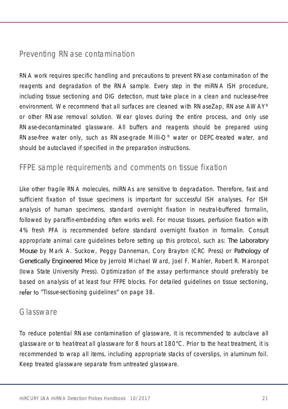### <span id="page-20-0"></span>Preventing RNase contamination

RNA work requires specific handling and precautions to prevent RNase contamination of the reagents and degradation of the RNA sample. Every step in the miRNA ISH procedure, including tissue sectioning and DIG detection, must take place in a clean and nuclease-free environment. We recommend that all surfaces are cleaned with RNaseZap, RNase AWAY® or other RNase removal solution. Wear gloves during the entire process, and only use RNase-decontaminated glassware. All buffers and reagents should be prepared using RNase-free water only, such as RNase-grade Milli-Q® water or DEPC-treated water, and should be autoclaved if specified in the preparation instructions.

### <span id="page-20-1"></span>FFPE sample requirements and comments on tissue fixation

Like other fragile RNA molecules, miRNAs are sensitive to degradation. Therefore, fast and sufficient fixation of tissue specimens is important for successful ISH analyses. For ISH analysis of human specimens, standard overnight fixation in neutral-buffered formalin, followed by paraffin-embedding often works well. For mouse tissues, perfusion fixation with 4% fresh PFA is recommended before standard overnight fixation in formalin. Consult appropriate animal care guidelines before setting up this protocol, such as: *The Laboratory Mouse* by Mark A. Suckow, Peggy Danneman, Cory Brayton (CRC Press) or *Pathology of Genetically Engineered Mice* by Jerrold Michael Ward, Joel F. Mahler, Robert R. Maronpot (Iowa State University Press). Optimization of the assay performance should preferably be based on analysis of at least four FFPE blocks. For detailed guidelines on tissue sectioning, refer to "Tissue-sectioning quidelines" on page [38.](#page-37-1)

### <span id="page-20-2"></span>Glassware

To reduce potential RNase contamination of glassware, it is recommended to autoclave all glassware or to heat-treat all glassware for 8 hours at 180°C. Prior to the heat treatment, it is recommended to wrap all items, including appropriate stacks of coverslips, in aluminum foil. Keep treated glassware separate from untreated glassware.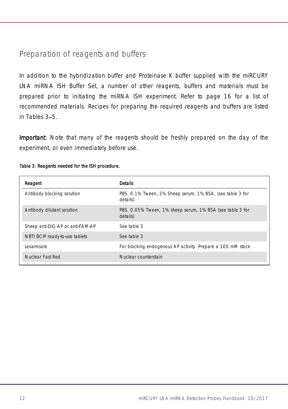### <span id="page-21-0"></span>Preparation of reagents and buffers

In addition to the hybridization buffer and Proteinase K buffer supplied with the miRCURY LNA miRNA ISH Buffer Set, a number of other reagents, buffers and materials must be prepared prior to initiating the miRNA ISH experiment. Refer to page [16](#page-15-0) for a list of recommended materials. Recipes for preparing the required reagents and buffers are listed in Tables  $3-5$  $3-5$ .

Important: Note that many of the reagents should be freshly prepared on the day of the experiment, or even immediately before use.

| Reagent                          | <b>Details</b>                                                        |
|----------------------------------|-----------------------------------------------------------------------|
| Antibody blocking solution       | PBS, 0.1% Tween, 2% Sheep serum, 1% BSA, (see table 3 for<br>details) |
| Antibody dilutant solution       | PBS, 0.05% Tween, 1% sheep serum, 1% BSA (see table 3 for<br>details) |
| Sheep anti-DIG-AP or anti-FAM-AP | See table 3                                                           |
| NBT/BCIP ready-to-use tablets    | See table 3                                                           |
| Levamisole                       | For blocking endogenous AP activity. Prepare a 100 mM stock           |
| Nuclear Fast Red                 | Nuclear counterstain                                                  |

#### <span id="page-21-1"></span>Table 3. Reagents needed for the ISH procedure.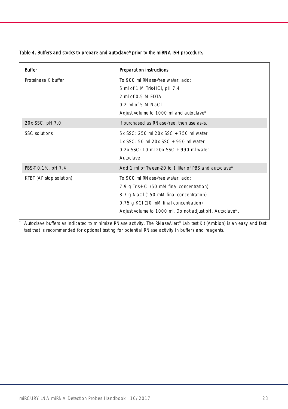#### <span id="page-22-0"></span>Table 4. Buffers and stocks to prepare and autoclave\* prior to the miRNA ISH procedure.

| <b>Buffer</b>           | Preparation instructions                                                                                                                                                                                                       |
|-------------------------|--------------------------------------------------------------------------------------------------------------------------------------------------------------------------------------------------------------------------------|
| Proteinase K buffer     | To 900 ml RNase-free water, add:<br>5 ml of 1 M Tris-HCl, pH 7.4<br>2 ml of 0.5 M FDTA<br>$0.2$ mLof 5 M NaCl<br>Adjust volume to 1000 ml and autoclave*                                                                       |
| 20x SSC, pH 7.0.        | If purchased as RNase-free, then use as-is.                                                                                                                                                                                    |
| SSC solutions           | 5x SSC: 250 ml 20x SSC + 750 ml water<br>1x SSC: 50 ml 20x SSC + 950 ml water<br>$0.2x$ SSC: 10 mL 20x SSC + 990 mL water<br>Autoclave                                                                                         |
| PBS-T 0.1%, pH 7.4      | Add 1 ml of Tween-20 to 1 liter of PBS and autoclave*                                                                                                                                                                          |
| KTBT (AP stop solution) | To 900 ml RNase-free water, add:<br>7.9 g Tris-HCI (50 mM final concentration)<br>8.7 g NaCl (150 mM final concentration)<br>0.75 g KCI (10 mM final concentration)<br>Adjust volume to 1000 ml. Do not adjust pH. Autoclave*. |

\* Autoclave buffers as indicated to minimize RNase activity. The RNaseAlert® Lab test Kit (Ambion) is an easy and fast test that is recommended for optional testing for potential RNase activity in buffers and reagents.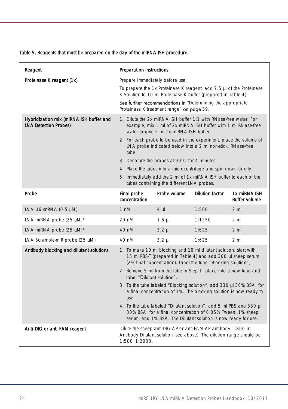#### <span id="page-23-0"></span>Table 5. Reagents that must be prepared on the day of the miRNA ISH procedure.

| Reagent                                                                 | Preparation instructions                                                                                                                                                                                                                                                                                                                                                                                                                                                                                                                                                                                                                                           |              |                        |                                      |
|-------------------------------------------------------------------------|--------------------------------------------------------------------------------------------------------------------------------------------------------------------------------------------------------------------------------------------------------------------------------------------------------------------------------------------------------------------------------------------------------------------------------------------------------------------------------------------------------------------------------------------------------------------------------------------------------------------------------------------------------------------|--------------|------------------------|--------------------------------------|
| Proteinase K reagent (1x)                                               | Prepare immediately before use.<br>To prepare the 1x Proteinase K reagent, add 7.5 µl of the Proteinase<br>K Solution to 10 ml Proteinase K buffer (prepared in Table 4).<br>See further recommendations in "Determining the appropriate<br>Proteinase K treatment range" on page 39.                                                                                                                                                                                                                                                                                                                                                                              |              |                        |                                      |
| Hybridization mix (miRNA ISH buffer and<br><b>LNA Detection Probes)</b> | 1. Dilute the 2x miRNA ISH buffer 1:1 with RNase-free water. For<br>example, mix 1 ml of 2x miRNA ISH buffer with 1 ml RNase-free<br>water to give 2 ml 1x miRNA ISH buffer.<br>2. For each probe to be used in the experiment, place the volume of<br>LNA probe indicated below into a 2 ml non-stick, RNase-free<br>tube.<br>3. Denature the probes at 90°C for 4 minutes.<br>4. Place the tubes into a microcentrifuge and spin down briefly.<br>5. Immediately add the 2 ml of 1x miRNA ISH buffer to each of the<br>tubes containing the different LNA probes.                                                                                                |              |                        |                                      |
| Probe                                                                   | Final probe<br>concentration                                                                                                                                                                                                                                                                                                                                                                                                                                                                                                                                                                                                                                       | Probe volume | <b>Dilution factor</b> | 1x miRNA ISH<br><b>Buffer volume</b> |
| LNA U6 snRNA (0.5 µM)                                                   | 1 nM                                                                                                                                                                                                                                                                                                                                                                                                                                                                                                                                                                                                                                                               | $4 \mu$      | 1:500                  | 2 <sub>m</sub>                       |
| LNA miRNA probe (25 µM)*                                                | 20 nM                                                                                                                                                                                                                                                                                                                                                                                                                                                                                                                                                                                                                                                              | $1.6 \mu$    | 1:1250                 | $2 \mathrm{m}$                       |
| LNA miRNA probe $(25 \mu M)^*$                                          | 40 nM                                                                                                                                                                                                                                                                                                                                                                                                                                                                                                                                                                                                                                                              | $3.2 \mu$    | 1:625                  | $2 \mathrm{m}$                       |
| LNA Scramble-miR probe (25 µM)                                          | 40 nM                                                                                                                                                                                                                                                                                                                                                                                                                                                                                                                                                                                                                                                              | $3.2$ $\mu$  | 1:625                  | 2 <sub>m1</sub>                      |
| Antibody blocking and dilutant solutions                                | 1. To make 10 ml blocking and 10 ml dilutant solution, start with<br>15 ml PBS-T (prepared in Table 4) and add 300 µl sheep serum<br>(2% final concentration). Label the tube "Blocking solution".<br>2. Remove 5 ml from the tube in Step 1, place into a new tube and<br>label "Dilutant solution".<br>3. To the tube labeled "Blocking solution", add 330 µl 30% BSA, for<br>a final concentration of 1%. The blocking solution is now ready to<br>use.<br>4. To the tube labeled "Dilutant solution", add 5 ml PBS and 330 µl<br>30% BSA, for a final concentration of 0.05% Tween, 1% sheep<br>serum, and 1% BSA. The Dilutant solution is now ready for use. |              |                        |                                      |
| Anti-DIG or anti-FAM reagent                                            | Dilute the sheep anti-DIG-AP or anti-FAM-AP antibody 1:800 in<br>Antibody Dilutant solution (see above). The dilution range should be<br>1:500-1:2000.                                                                                                                                                                                                                                                                                                                                                                                                                                                                                                             |              |                        |                                      |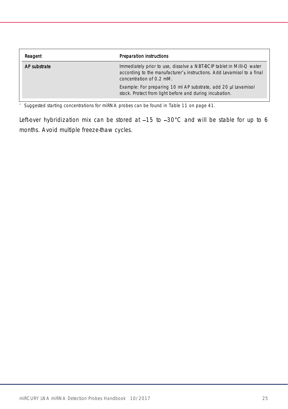| Reagent      | Preparation instructions                                                                                                                                                    |
|--------------|-----------------------------------------------------------------------------------------------------------------------------------------------------------------------------|
| AP substrate | Immediately prior to use, dissolve a NBT-BCIP tablet in Milli-Q water<br>according to the manufacturer's instructions. Add Levamisol to a final<br>concentration of 0.2 mM. |
|              | Example: For preparing 10 ml AP substrate, add 20 µl Levamisol<br>stock. Protect from light before and during incubation.                                                   |

\* Suggested starting concentrations for miRNA probes can be found in [Table 11](#page-40-0) on pag[e 41.](#page-40-0)

Left-over hybridization mix can be stored at  $-15$  to  $-30^{\circ}$ C and will be stable for up to 6 months. Avoid multiple freeze-thaw cycles.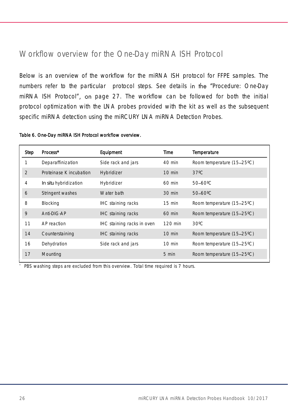## <span id="page-25-0"></span>Workflow overview for the One-Day miRNA ISH Protocol

Below is an overview of the workflow for the miRNA ISH protocol for FFPE samples. The numbers refer to the particular protocol steps. See details in the "Procedure: One-Day [miRNA ISH Protocol](#page-26-0)", on page [27.](#page-26-0) The workflow can be followed for both the initial protocol optimization with the LNA probes provided with the kit as well as the subsequent specific miRNA detection using the miRCURY LNA miRNA Detection Probes.

Table 6. One-Day miRNA ISH Protocol workflow overview.

| Step          | Process*                | Equipment                  | Time             | Temperature                |
|---------------|-------------------------|----------------------------|------------------|----------------------------|
|               | Deparaffinization       | Side rack and jars         | 40 min           | Room temperature (15-25°C) |
| $\mathcal{P}$ | Proteinase K incubation | Hybridizer                 | $10$ min         | $37^{\circ}$ C             |
| 4             | In situ hybridization   | Hybridizer                 | $60$ min         | 50-60°C                    |
| 6             | Stringent washes        | Water bath                 | $30 \text{ min}$ | $50 - 60^{\circ}$ C        |
| 8             | Blocking                | IHC staining racks         | $15 \text{ min}$ | Room temperature (15-25°C) |
| 9             | Anti-DIG-AP             | IHC staining racks         | $60$ min         | Room temperature (15-25°C) |
| 11            | AP reaction             | IHC staining racks in oven | 120 min          | $30^{\circ}$ C             |
| 14            | Counterstaining         | IHC staining racks         | 10 min           | Room temperature (15-25°C) |
| 16            | Dehydration             | Side rack and jars         | 10 min           | Room temperature (15-25°C) |
| 17            | Mounting                |                            | 5 min            | Room temperature (15-25°C) |

PBS washing steps are excluded from this overview. Total time required is 7 hours.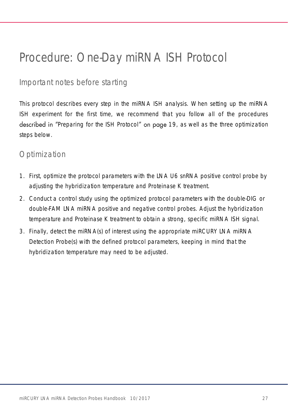# <span id="page-26-0"></span>Procedure: One-Day miRNA ISH Protocol

### <span id="page-26-1"></span>Important notes before starting

This protocol describes every step in the miRNA ISH analysis. When setting up the miRNA ISH experiment for the first time, we recommend that you follow all of the procedures described in "[Preparing for the ISH Protocol](#page-18-0)" on page [19,](#page-18-0) as well as the three optimization steps below.

### <span id="page-26-2"></span>Optimization

- 1. First, optimize the protocol parameters with the LNA U6 snRNA positive control probe by adjusting the hybridization temperature and Proteinase K treatment.
- 2. Conduct a control study using the optimized protocol parameters with the double-DIG or double-FAM LNA miRNA positive and negative control probes. Adjust the hybridization temperature and Proteinase K treatment to obtain a strong, specific miRNA ISH signal.
- 3. Finally, detect the miRNA(s) of interest using the appropriate miRCURY LNA miRNA Detection Probe(s) with the defined protocol parameters, keeping in mind that the hybridization temperature may need to be adjusted.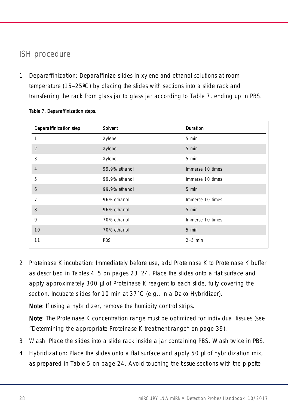# <span id="page-27-0"></span>ISH procedure

1. Deparaffinization: Deparaffinize slides in xylene and ethanol solutions at room temperature (15 25ºC) by placing the slides with sections into a slide rack and transferring the rack from glass jar to glass jar according to [Table 7,](#page-27-2) ending up in PBS.

| Deparaffinization step | Solvent       | Duration         |
|------------------------|---------------|------------------|
|                        | Xylene        | 5 min            |
| $\overline{2}$         | Xylene        | 5 min            |
| 3                      | Xylene        | 5 min            |
| $\overline{4}$         | 99.9% ethanol | Immerse 10 times |
| 5                      | 99.9% ethanol | Immerse 10 times |
| 6                      | 99.9% ethanol | 5 min            |
| 7                      | 96% ethanol   | Immerse 10 times |
| 8                      | 96% ethanol   | 5 min            |
| 9                      | 70% ethanol   | Immerse 10 times |
| 10                     | 70% ethanol   | 5 min            |
| 11                     | <b>PBS</b>    | $2-5$ min        |

#### <span id="page-27-2"></span>Table 7. Deparaffinization steps.

2. Proteinase K incubation: Immediately before use, add Proteinase K to Proteinase K buffer as described in Tables [4](#page-22-0)–[5](#page-23-0) on pages [23](#page-22-0)–[24.](#page-23-0) Place the slides onto a flat surface and apply approximately 300 µl of Proteinase K reagent to each slide, fully covering the section. Incubate slides for 10 min at 37°C (e.g., in a Dako Hybridizer).

Note: If using a hybridizer, remove the humidity control strips.

Note: The Proteinase K concentration range must be optimized for individual tissues (see "Determining [the appropriate Proteinase K](#page-38-0) treatment range" on page [39\)](#page-38-0).

- 3. Wash: Place the slides into a slide rack inside a jar containing PBS. Wash twice in PBS.
- <span id="page-27-1"></span>4. Hybridization: Place the slides onto a flat surface and apply 50 µl of hybridization mix, as prepared in [Table 5](#page-23-0) on page [24.](#page-23-0) Avoid touching the tissue sections with the pipette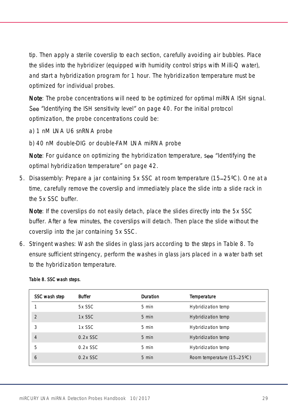tip. Then apply a sterile coverslip to each section, carefully avoiding air bubbles. Place the slides into the hybridizer (equipped with humidity control strips with Milli-Q water), and start a hybridization program for 1 hour. The hybridization temperature must be optimized for individual probes.

Note: The probe concentrations will need to be optimized for optimal miRNA ISH signal. See "Identifying the [ISH sensitivity level](#page-39-0)" on page [40.](#page-39-1) For the initial protocol optimization, the probe concentrations could be:

a) 1 nM LNA U6 snRNA probe

b) 40 nM double-DIG or double-FAM LNA miRNA probe

Note: For guidance on optimizing the hybridization temperature, see "[Identifying the](#page-41-0) [optimal hybridization temperature](#page-41-0)" on page [42.](#page-41-0)

<span id="page-28-2"></span>5. Disassembly: Prepare a jar containing 5x SSC at room temperature (15–25°C). One at a time, carefully remove the coverslip and immediately place the slide into a slide rack in the 5x SSC buffer.

Note: If the coverslips do not easily detach, place the slides directly into the 5x SSC buffer. After a few minutes, the coverslips will detach. Then place the slide without the coverslip into the jar containing 5x SSC.

<span id="page-28-1"></span>6. Stringent washes: Wash the slides in glass jars according to the steps in [Table 8.](#page-28-0) To ensure sufficient stringency, perform the washes in glass jars placed in a water bath set to the hybridization temperature.

| SSC wash step  | Buffer      | Duration        | Temperature                |
|----------------|-------------|-----------------|----------------------------|
|                | 5x SSC      | $5 \text{ min}$ | Hybridization temp         |
| $\mathfrak{D}$ | 1x SSC      | 5 min           | Hybridization temp         |
| 3              | 1x SSC      | 5 min           | Hybridization temp         |
| $\overline{4}$ | $0.2x$ SSC. | $5 \text{ min}$ | Hybridization temp         |
| 5              | $0.2x$ SSC  | $5 \text{ min}$ | Hybridization temp         |
| 6              | $0.2x$ SSC  | $5 \text{ min}$ | Room temperature (15-25°C) |

#### <span id="page-28-0"></span>Table 8. SSC wash steps.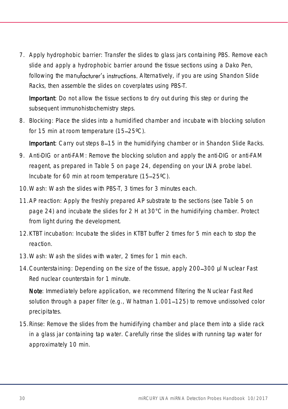7. Apply hydrophobic barrier: Transfer the slides to glass jars containing PBS. Remove each slide and apply a hydrophobic barrier around the tissue sections using a Dako Pen, following the manufacturer's instructions. Alternatively, if you are using Shandon Slide Racks, then assemble the slides on coverplates using PBS-T.

Important: Do not allow the tissue sections to dry out during this step or during the subsequent immunohistochemistry steps.

<span id="page-29-1"></span>8. Blocking: Place the slides into a humidified chamber and incubate with blocking solution for 15 min at room temperature  $(15-25^{\circ}C)$ .

**Important**: Carry out steps [8](#page-29-1)–[15](#page-29-2) in the humidifying chamber or in Shandon Slide Racks.

- <span id="page-29-0"></span>9. Anti-DIG or anti-FAM: Remove the blocking solution and apply the anti-DIG or anti-FAM reagent, as prepared in [Table 5](#page-23-0) on page [24,](#page-23-0) depending on your LNA probe label. Incubate for 60 min at room temperature (15-25°C).
- 10.Wash: Wash the slides with PBS-T, 3 times for 3 minutes each.
- <span id="page-29-3"></span>11.AP reaction: Apply the freshly prepared AP substrate to the sections (see [Table 5](#page-23-0) on page [24\)](#page-23-0) and incubate the slides for 2 H at 30°C in the humidifying chamber. Protect from light during the development.
- 12.KTBT incubation: Incubate the slides in KTBT buffer 2 times for 5 min each to stop the reaction.
- 13.Wash: Wash the slides with water, 2 times for 1 min each.
- 14. Counterstaining: Depending on the size of the tissue, apply 200-300 µl Nuclear Fast Red nuclear counterstain for 1 minute.

Note: Immediately before application, we recommend filtering the Nuclear Fast Red solution through a paper filter (e.g., Whatman 1.001–125) to remove undissolved color precipitates.

<span id="page-29-2"></span>15.Rinse: Remove the slides from the humidifying chamber and place them into a slide rack in a glass jar containing tap water. Carefully rinse the slides with running tap water for approximately 10 min.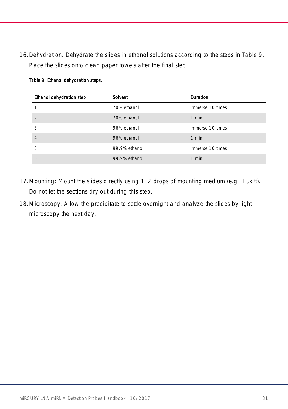16.Dehydration. Dehydrate the slides in ethanol solutions according to the steps in [Table 9.](#page-30-0) Place the slides onto clean paper towels after the final step.

| Solvent       | Duration         |
|---------------|------------------|
| 70% ethanol   | Immerse 10 times |
| 70% ethanol   | $1$ min          |
| 96% ethanol   | Immerse 10 times |
| 96% ethanol   | 1 min            |
| 99.9% ethanol | Immerse 10 times |
| 99.9% ethanol | $1$ min          |
|               |                  |

#### <span id="page-30-0"></span>Table 9. Ethanol dehydration steps.

- 17. Mounting: Mount the slides directly using 1–2 drops of mounting medium (e.g., Eukitt). Do not let the sections dry out during this step.
- 18.Microscopy: Allow the precipitate to settle overnight and analyze the slides by light microscopy the next day.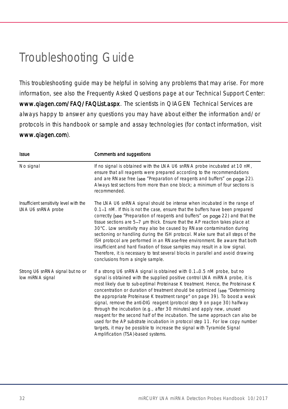# <span id="page-31-0"></span>Troubleshooting Guide

This troubleshooting guide may be helpful in solving any problems that may arise. For more information, see also the Frequently Asked Questions page at our Technical Support Center: [www.qiagen.com/FAQ/FAQList.aspx](http://www.qiagen.com/FAQ/FAQList.aspx). The scientists in QIAGEN Technical Services are always happy to answer any questions you may have about either the information and/or protocols in this handbook or sample and assay technologies (for contact information, visit [www.qiagen.com](http://www.qiagen.com/)).

| <b>Issue</b>                                                  | Comments and suggestions                                                                                                                                                                                                                                                                                                                                                                                                                                                                                                                                                                                                                                                                                                                                                                                                                     |
|---------------------------------------------------------------|----------------------------------------------------------------------------------------------------------------------------------------------------------------------------------------------------------------------------------------------------------------------------------------------------------------------------------------------------------------------------------------------------------------------------------------------------------------------------------------------------------------------------------------------------------------------------------------------------------------------------------------------------------------------------------------------------------------------------------------------------------------------------------------------------------------------------------------------|
| No signal                                                     | If no signal is obtained with the LNA U6 snRNA probe incubated at 10 nM,<br>ensure that all reagents were prepared according to the recommendations<br>and are RNase free (see "Preparation of reagents and buffers" on page 22).<br>Always test sections from more than one block; a minimum of four sections is<br>recommended.                                                                                                                                                                                                                                                                                                                                                                                                                                                                                                            |
| Insufficient sensitivity level with the<br>LNA U6 snRNA probe | The LNA U6 snRNA signal should be intense when incubated in the range of<br>0.1–1 nM. If this is not the case, ensure that the buffers have been prepared<br>correctly (see "Preparation of reagents and buffers" on page 22) and that the<br>tissue sections are 5-7 µm thick. Ensure that the AP reaction takes place at<br>30°C. Low sensitivity may also be caused by RNase contamination during<br>sectioning or handling during the ISH protocol. Make sure that all steps of the<br>ISH protocol are performed in an RNase-free environment. Be aware that both<br>insufficient and hard fixation of tissue samples may result in a low signal.<br>Therefore, it is necessary to test several blocks in parallel and avoid drawing<br>conclusions from a single sample.                                                               |
| Strong U6 snRNA signal but no or<br>low miRNA signal          | If a strong U6 snRNA signal is obtained with 0.1–0.5 nM probe, but no<br>signal is obtained with the supplied positive control LNA miRNA probe, it is<br>most likely due to sub-optimal Proteinase K treatment. Hence, the Proteinase K<br>concentration or duration of treatment should be optimized (see "Determining<br>the appropriate Proteinase K treatment range" on page 39). To boost a weak<br>signal, remove the anti-DIG reagent (protocol step 9 on page 30) halfway<br>through the incubation (e.g., after 30 minutes) and apply new, unused<br>reagent for the second half of the incubation. The same approach can also be<br>used for the AP substrate incubation in protocol step 11. For low copy number<br>targets, it may be possible to increase the signal with Tyramide Signal<br>Amplification (TSA)-based systems. |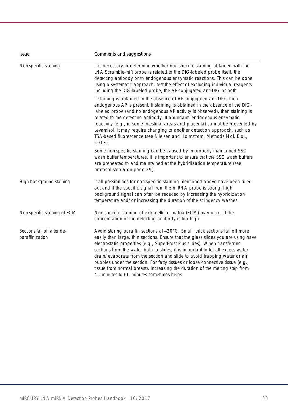<span id="page-32-0"></span>

| <b>Issue</b>                                   | Comments and suggestions                                                                                                                                                                                                                                                                                                                                                                                                                                                                                                                                                                                                        |  |  |
|------------------------------------------------|---------------------------------------------------------------------------------------------------------------------------------------------------------------------------------------------------------------------------------------------------------------------------------------------------------------------------------------------------------------------------------------------------------------------------------------------------------------------------------------------------------------------------------------------------------------------------------------------------------------------------------|--|--|
| Non-specific staining                          | It is necessary to determine whether non-specific staining obtained with the<br>LNA Scramble-miR probe is related to the DIG-labeled probe itself, the<br>detecting antibody or to endogenous enzymatic reactions. This can be done<br>using a systematic approach: test the effect of excluding individual reagents<br>including the DIG-labeled probe, the AP-conjugated anti-DIG or both.                                                                                                                                                                                                                                    |  |  |
|                                                | If staining is obtained in the absence of AP-conjugated anti-DIG, then<br>endogenous AP is present. If staining is obtained in the absence of the DIG-<br>labeled probe (and no endogenous AP activity is observed), then staining is<br>related to the detecting antibody. If abundant, endogenous enzymatic<br>reactivity (e.g., in some intestinal areas and placenta) cannot be prevented by<br>Levamisol, it may require changing to another detection approach, such as<br>TSA-based fluorescence (see Nielsen and Holmstrøm, Methods Mol. Biol.,<br>$2013$ ).                                                            |  |  |
|                                                | Some non-specific staining can be caused by improperly maintained SSC<br>wash buffer temperatures. It is important to ensure that the SSC wash buffers<br>are preheated to and maintained at the hybridization temperature (see<br>protocol step 6 on page 29).                                                                                                                                                                                                                                                                                                                                                                 |  |  |
| High background staining                       | If all possibilities for non-specific staining mentioned above have been ruled<br>out and if the specific signal from the miRNA probe is strong, high<br>background signal can often be reduced by increasing the hybridization<br>temperature and/or increasing the duration of the stringency washes.                                                                                                                                                                                                                                                                                                                         |  |  |
| Non-specific staining of ECM                   | Non-specific staining of extracellular matrix (ECM) may occur if the<br>concentration of the detecting antibody is too high.                                                                                                                                                                                                                                                                                                                                                                                                                                                                                                    |  |  |
| Sections fall off after de-<br>paraffinization | Avoid storing paraffin sections at -20°C. Small, thick sections fall off more<br>easily than large, thin sections. Ensure that the glass slides you are using have<br>electrostatic properties (e.g., SuperFrost Plus slides). When transferring<br>sections from the water bath to slides, it is important to let all excess water<br>drain/evaporate from the section and slide to avoid trapping water or air<br>bubbles under the section. For fatty tissues or loose connective tissue (e.g.,<br>tissue from normal breast), increasing the duration of the melting step from<br>45 minutes to 60 minutes sometimes helps. |  |  |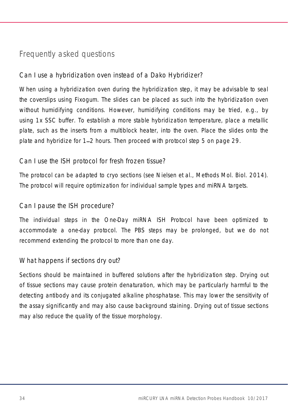### Frequently asked questions

### <span id="page-33-0"></span>Can I use a hybridization oven instead of a Dako Hybridizer?

When using a hybridization oven during the hybridization step, it may be advisable to seal the coverslips using Fixogum. The slides can be placed as such into the hybridization oven without humidifying conditions. However, humidifying conditions may be tried, e.g., by using 1x SSC buffer. To establish a more stable hybridization temperature, place a metallic plate, such as the inserts from a multiblock heater, into the oven. Place the slides onto the plate and hybridize for 1 2 hours. Then proceed with protocol step [5](#page-28-2) on page [29.](#page-28-2)

### Can I use the ISH protocol for fresh frozen tissue?

The protocol can be adapted to cryo sections (see Nielsen et al., Methods Mol. Biol. 2014). The protocol will require optimization for individual sample types and miRNA targets.

### Can I pause the ISH procedure?

The individual steps in the One-Day miRNA ISH Protocol have been optimized to accommodate a one-day protocol. The PBS steps may be prolonged, but we do not recommend extending the protocol to more than one day.

### What happens if sections dry out?

Sections should be maintained in buffered solutions after the hybridization step. Drying out of tissue sections may cause protein denaturation, which may be particularly harmful to the detecting antibody and its conjugated alkaline phosphatase. This may lower the sensitivity of the assay significantly and may also cause background staining. Drying out of tissue sections may also reduce the quality of the tissue morphology.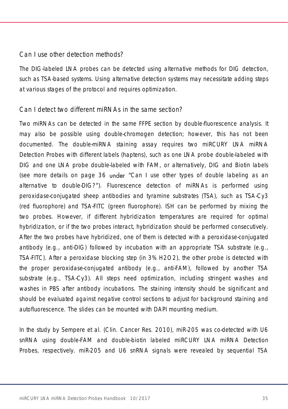#### Can I use other detection methods?

The DIG-labeled LNA probes can be detected using alternative methods for DIG detection, such as TSA-based systems. Using alternative detection systems may necessitate adding steps at various stages of the protocol and requires optimization.

#### Can I detect two different miRNAs in the same section?

Two miRNAs can be detected in the same FFPE section by double-fluorescence analysis. It may also be possible using double-chromogen detection; however, this has not been documented. The double-miRNA staining assay requires two miRCURY LNA miRNA Detection Probes with different labels (haptens), such as one LNA probe double-labeled with DIG and one LNA probe double-labeled with FAM, or alternatively, DIG and Biotin labels (see more details on page [36](#page-35-0) under "Can I use other types of double labeling as an [alternative to double-DIG?](#page-35-0) ). Fluorescence detection of miRNAs is performed using peroxidase-conjugated sheep antibodies and tyramine substrates (TSA), such as TSA-Cy3 (red fluorophore) and TSA-FITC (green fluorophore). ISH can be performed by mixing the two probes. However, if different hybridization temperatures are required for optimal hybridization, or if the two probes interact, hybridization should be performed consecutively. After the two probes have hybridized, one of them is detected with a peroxidase-conjugated antibody (e.g., anti-DIG) followed by incubation with an appropriate TSA substrate (e.g., TSA-FITC). After a peroxidase blocking step (in 3% H2O2), the other probe is detected with the proper peroxidase-conjugated antibody (e.g., anti-FAM), followed by another TSA substrate (e.g., TSA-Cy3). All steps need optimization, including stringent washes and washes in PBS after antibody incubations. The staining intensity should be significant and should be evaluated against negative control sections to adjust for background staining and autofluorescence. The slides can be mounted with DAPI mounting medium.

In the study by Sempere et al. (Clin. Cancer Res. 2010), miR-205 was co-detected with U6 snRNA using double-FAM and double-biotin labeled miRCURY LNA miRNA Detection Probes, respectively. miR-205 and U6 snRNA signals were revealed by sequential TSA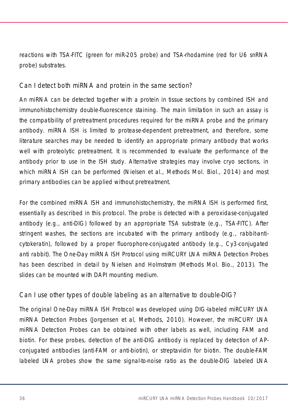reactions with TSA-FITC (green for miR-205 probe) and TSA-rhodamine (red for U6 snRNA probe) substrates.

Can I detect both miRNA and protein in the same section?

An miRNA can be detected together with a protein in tissue sections by combined ISH and immunohistochemistry double-fluorescence staining. The main limitation in such an assay is the compatibility of pretreatment procedures required for the miRNA probe and the primary antibody. miRNA ISH is limited to protease-dependent pretreatment, and therefore, some literature searches may be needed to identify an appropriate primary antibody that works well with proteolytic pretreatment. It is recommended to evaluate the performance of the antibody prior to use in the ISH study. Alternative strategies may involve cryo sections, in which miRNA ISH can be performed (Nielsen et al., Methods Mol. Biol., 2014) and most primary antibodies can be applied without pretreatment.

For the combined miRNA ISH and immunohistochemistry, the miRNA ISH is performed first, essentially as described in this protocol. The probe is detected with a peroxidase-conjugated antibody (e.g., anti-DIG) followed by an appropriate TSA substrate (e.g., TSA-FITC). After stringent washes, the sections are incubated with the primary antibody (e.g., rabbit-anticytokeratin), followed by a proper fluorophore-conjugated antibody (e.g., Cy3-conjugated anti rabbit). The One-Day miRNA ISH Protocol using miRCURY LNA miRNA Detection Probes has been described in detail by Nielsen and Holmstrøm (Methods Mol. Bio., 2013). The slides can be mounted with DAPI mounting medium.

### <span id="page-35-0"></span>Can I use other types of double labeling as an alternative to double-DIG?

The original One-Day miRNA ISH Protocol was developed using DIG-labeled miRCURY LNA miRNA Detection Probes (Jorgensen et al, Methods, 2010). However, the miRCURY LNA miRNA Detection Probes can be obtained with other labels as well, including FAM and biotin. For these probes, detection of the anti-DIG antibody is replaced by detection of APconjugated antibodies (anti-FAM or anti-biotin), or streptavidin for biotin. The double-FAM labeled LNA probes show the same signal-to-noise ratio as the double-DIG labeled LNA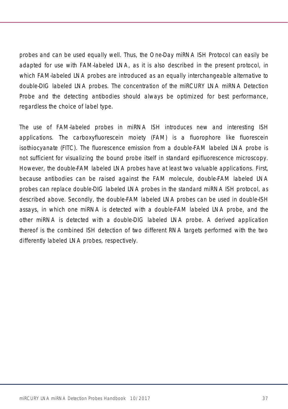probes and can be used equally well. Thus, the One-Day miRNA ISH Protocol can easily be adapted for use with FAM-labeled LNA, as it is also described in the present protocol, in which FAM-labeled LNA probes are introduced as an equally interchangeable alternative to double-DIG labeled LNA probes. The concentration of the miRCURY LNA miRNA Detection Probe and the detecting antibodies should always be optimized for best performance, regardless the choice of label type.

The use of FAM-labeled probes in miRNA ISH introduces new and interesting ISH applications. The carboxyfluorescein moiety (FAM) is a fluorophore like fluorescein isothiocyanate (FITC). The fluorescence emission from a double-FAM labeled LNA probe is not sufficient for visualizing the bound probe itself in standard epifluorescence microscopy. However, the double-FAM labeled LNA probes have at least two valuable applications. First, because antibodies can be raised against the FAM molecule, double-FAM labeled LNA probes can replace double-DIG labeled LNA probes in the standard miRNA ISH protocol, as described above. Secondly, the double-FAM labeled LNA probes can be used in double-ISH assays, in which one miRNA is detected with a double-FAM labeled LNA probe, and the other miRNA is detected with a double-DIG labeled LNA probe. A derived application thereof is the combined ISH detection of two different RNA targets performed with the two differently labeled LNA probes, respectively.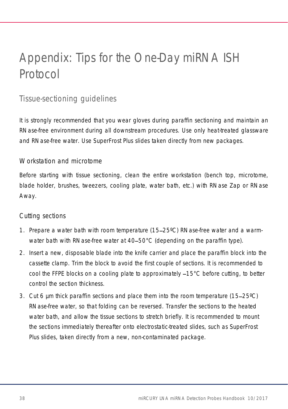# <span id="page-37-0"></span>Appendix: Tips for the One-Day miRNA ISH Protocol

# <span id="page-37-1"></span>Tissue-sectioning guidelines

It is strongly recommended that you wear gloves during paraffin sectioning and maintain an RNase-free environment during all downstream procedures. Use only heat-treated glassware and RNase-free water. Use SuperFrost Plus slides taken directly from new packages.

### Workstation and microtome

Before starting with tissue sectioning, clean the entire workstation (bench top, microtome, blade holder, brushes, tweezers, cooling plate, water bath, etc.) with RNase Zap or RNase Away.

### Cutting sections

- 1. Prepare a water bath with room temperature (15 25ºC) RNase-free water and a warmwater bath with RNase-free water at 40–50°C (depending on the paraffin type).
- 2. Insert a new, disposable blade into the knife carrier and place the paraffin block into the cassette clamp. Trim the block to avoid the first couple of sections. It is recommended to cool the FFPE blocks on a cooling plate to approximately  $-15^{\circ}$ C before cutting, to better control the section thickness.
- 3. Cut 6  $\mu$ m thick paraffin sections and place them into the room temperature (15–25 $\degree$ C) RNase-free water, so that folding can be reversed. Transfer the sections to the heated water bath, and allow the tissue sections to stretch briefly. It is recommended to mount the sections immediately thereafter onto electrostatic-treated slides, such as SuperFrost Plus slides, taken directly from a new, non-contaminated package.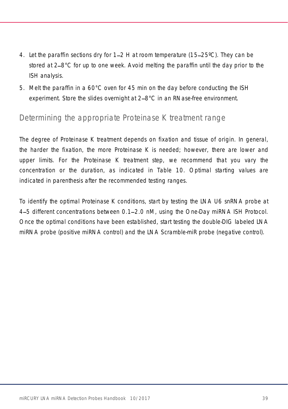- 4. Let the paraffin sections dry for 1–2 H at room temperature (15–25°C). They can be stored at 2–8°C for up to one week. Avoid melting the paraffin until the day prior to the ISH analysis.
- 5. Melt the paraffin in a 60°C oven for 45 min on the day before conducting the ISH experiment. Store the slides overnight at 2–8°C in an RNase-free environment.

### <span id="page-38-0"></span>Determining the appropriate Proteinase K treatment range

The degree of Proteinase K treatment depends on fixation and tissue of origin. In general, the harder the fixation, the more Proteinase K is needed; however, there are lower and upper limits. For the Proteinase K treatment step, we recommend that you vary the concentration or the duration, as indicated in [Table 10.](#page-39-2) Optimal starting values are indicated in parenthesis after the recommended testing ranges.

To identify the optimal Proteinase K conditions, start by testing the LNA U6 snRNA probe at 4-5 different concentrations between 0.1–2.0 nM, using the One-Day miRNA ISH Protocol. Once the optimal conditions have been established, start testing the double-DIG labeled LNA miRNA probe (positive miRNA control) and the LNA Scramble-miR probe (negative control).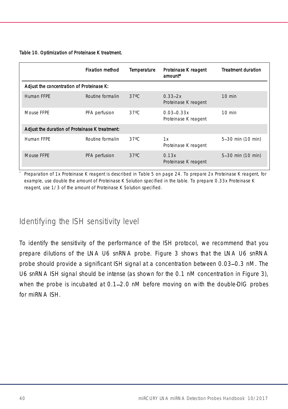#### <span id="page-39-2"></span>Table 10. Optimization of Proteinase K treatment.

<span id="page-39-1"></span>

|                                                | <b>Fixation method</b> | Temperature    | Proteinase K reagent<br>amount*        | <b>Treatment duration</b> |
|------------------------------------------------|------------------------|----------------|----------------------------------------|---------------------------|
| Adjust the concentration of Proteinase K:      |                        |                |                                        |                           |
| Human FFPF                                     | Routine formalin       | $37^{\circ}$ C | $0.33 - 2x$<br>Proteinase K reagent    | $10$ min                  |
| Mouse FFPF                                     | PFA perfusion          | $37^{\circ}$ C | $0.03 - 0.33x$<br>Proteinase K reagent | $10 \text{ min}$          |
| Adjust the duration of Proteinase K treatment: |                        |                |                                        |                           |
| Human FFPF                                     | Routine formalin       | $37^{\circ}$ C | 1x<br>Proteinase K reagent             | 5-30 min (10 min)         |
| Mouse FFPF                                     | PFA perfusion          | $37^{\circ}$ C | 0.13x<br>Proteinase K reagent          | 5-30 min (10 min)         |

Preparation of 1x Proteinase K reagent is described in [Table 5](#page-23-0) on page [24.](#page-23-0) To prepare 2x Proteinase K reagent, for example, use double the amount of Proteinase K Solution specified in the table. To prepare 0.33x Proteinase K reagent, use 1/3 of the amount of Proteinase K Solution specified.

### <span id="page-39-0"></span>Identifying the ISH sensitivity level

To identify the sensitivity of the performance of the ISH protocol, we recommend that you prepare dilutions of the LNA U6 snRNA probe. [Figure](#page-40-1) 3 shows that the LNA U6 snRNA probe should provide a significant ISH signal at a concentration between 0.03-0.3 nM. The U6 snRNA ISH signal should be intense (as shown for the 0.1 nM concentration in [Figure](#page-40-1) 3), when the probe is incubated at 0.1–2.0 nM before moving on with the double-DIG probes for miRNA ISH.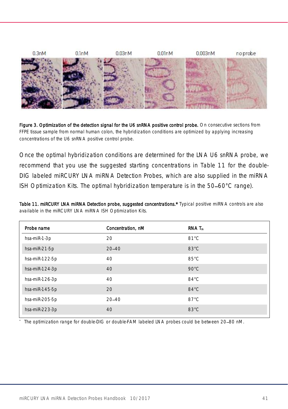

<span id="page-40-1"></span>Figure 3. Optimization of the detection signal for the U6 snRNA positive control probe. On consecutive sections from FFPE tissue sample from normal human colon, the hybridization conditions are optimized by applying increasing concentrations of the U6 snRNA positive control probe.

Once the optimal hybridization conditions are determined for the LNA U6 snRNA probe, we recommend that you use the suggested starting concentrations in [Table 11](#page-40-0) for the double-DIG labeled miRCURY LNA miRNA Detection Probes, which are also supplied in the miRNA ISH Optimization Kits. The optimal hybridization temperature is in the 50-60°C range).

<span id="page-40-0"></span>Table 11. miRCURY LNA miRNA Detection probe, suggested concentrations.\* Typical positive miRNA controls are also available in the miRCURY LNA miRNA ISH Optimization Kits.

| Probe name     | Concentration, nM | RNA T <sub>n</sub> |
|----------------|-------------------|--------------------|
| hsa-miR-1-3p   | 20                | $81^{\circ}$ C     |
| hsa-miR-21-5p  | $20 - 40$         | $83^{\circ}$ C     |
| hsa-miR-122-5p | 40                | $85^{\circ}$ C     |
| hsa-miR-124-3p | 40                | $90^{\circ}$ C     |
| hsa-miR-126-3p | 40                | $84^{\circ}$ C     |
| hsa-miR-145-5p | 20                | $84^{\circ}$ C     |
| hsa-miR-205-5p | $20 - 40$         | $87^{\circ}$ C     |
| hsa-miR-223-3p | 40                | $83^{\circ}$ C     |

The optimization range for double-DIG or double-FAM labeled LNA probes could be between 20-80 nM.

\*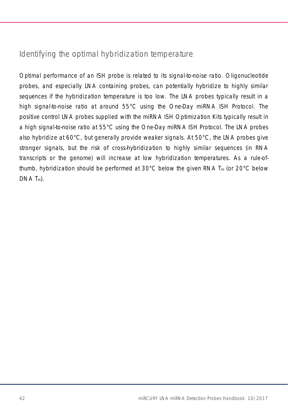# <span id="page-41-0"></span>Identifying the optimal hybridization temperature

Optimal performance of an ISH probe is related to its signal-to-noise ratio. Oligonucleotide probes, and especially LNA containing probes, can potentially hybridize to highly similar sequences if the hybridization temperature is too low. The LNA probes typically result in a high signal-to-noise ratio at around 55°C using the One-Day miRNA ISH Protocol. The positive control LNA probes supplied with the miRNA ISH Optimization Kits typically result in a high signal-to-noise ratio at 55°C using the One-Day miRNA ISH Protocol. The LNA probes also hybridize at 60°C, but generally provide weaker signals. At 50°C, the LNA probes give stronger signals, but the risk of cross-hybridization to highly similar sequences (in RNA transcripts or the genome) will increase at low hybridization temperatures. As a rule-ofthumb, hybridization should be performed at 30 $^{\circ}$ C below the given RNA  $T_m$  (or 20 $^{\circ}$ C below  $DNA T<sub>m</sub>$ ).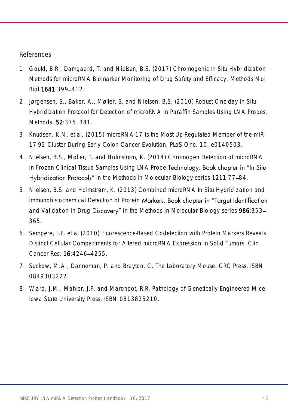#### References

- 1. Gould, B.R., Damgaard, T. and Nielsen, B.S. (2017) Chromogenic In Situ Hybridization Methods for microRNA Biomarker Monitoring of Drug Safety and Efficacy. Methods Mol Biol. 1641: 399-412.
- 2. Jørgensen, S., Baker, A., Møller, S. and Nielsen, B.S. (2010) Robust One-day In Situ Hybridization Protocol for Detection of microRNA in Paraffin Samples Using LNA Probes. Methods. **52:**375-381.
- 3. Knudsen, K.N. et al. (2015) microRNA-17 is the Most Up-Regulated Member of the miR-17-92 Cluster During Early Colon Cancer Evolution. PLoS One. 10, e0140503.
- 4. Nielsen, B.S., Møller, T. and Holmstrøm, K. (2014) Chromogen Detection of microRNA in Frozen Clinical Tissue Samples Using LNA Probe Technology. Book chapter in "In Situ Hybridization Protocols" in the Methods in Molecular Biology series 1211:77-84.
- 5. Nielsen, B.S. and Holmstrøm, K. (2013) Combined microRNA In Situ Hybridization and Immunohistochemical Detection of Protein Markers. Book chapter in "Target Identification and Validation in Drug Discovery" in the Methods in Molecular Biology series 986:353-365.
- 6. Sempere, L.F. et al (2010) Fluorescence-Based Codetection with Protein Markers Reveals Distinct Cellular Compartments for Altered microRNA Expression in Solid Tumors. Clin Cancer Res. **16:**4246-4255.
- 7. Suckow, M.A., Danneman, P. and Brayton, C. The Laboratory Mouse. CRC Press, ISBN 0849303222.
- 8. Ward, J.M., Mahler, J.F. and Maronpot, R.R. Pathology of Genetically Engineered Mice. Iowa State University Press, ISBN 0813825210.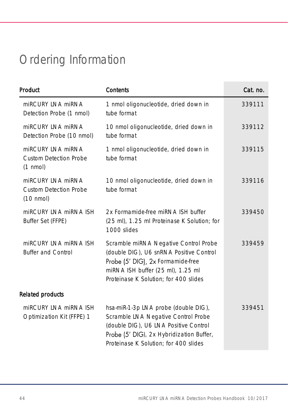# <span id="page-43-0"></span>Ordering Information

| Product                                                                   | Contents                                                                                                                                                                                                  | Cat. no. |
|---------------------------------------------------------------------------|-----------------------------------------------------------------------------------------------------------------------------------------------------------------------------------------------------------|----------|
| miRCURY INA miRNA<br>Detection Probe (1 nmol)                             | 1 nmol oligonucleotide, dried down in<br>tube format                                                                                                                                                      | 339111   |
| miRCURY LNA miRNA<br>Detection Probe (10 nmol)                            | 10 nmol oligonucleotide, dried down in<br>tube format                                                                                                                                                     | 339112   |
| miRCURY LNA miRNA<br>Custom Detection Probe<br>$(1 \text{ nmol})$         | 1 nmol oligonucleotide, dried down in<br>tube format                                                                                                                                                      | 339115   |
| miRCURY LNA miRNA<br><b>Custom Detection Probe</b><br>$(10 \text{ nmol})$ | 10 nmol oligonucleotide, dried down in<br>tube format                                                                                                                                                     | 339116   |
| miRCURY INA miRNA ISH<br>Buffer Set (FFPE)                                | 2x Formamide-free miRNA ISH buffer<br>(25 ml), 1.25 ml Proteinase K Solution; for<br>1000 slides                                                                                                          | 339450   |
| miRCURY LNA miRNA ISH<br><b>Buffer and Control</b>                        | Scramble miRNA Negative Control Probe<br>(double DIG), U6 snRNA Positive Control<br>Probe (5' DIG), 2x Formamide-free<br>miRNA ISH buffer (25 ml), 1.25 ml<br>Proteinase K Solution; for 400 slides       | 339459   |
| <b>Related products</b>                                                   |                                                                                                                                                                                                           |          |
| miRCURY LNA miRNA ISH<br>Optimization Kit (FFPE) 1                        | hsa-miR-1-3p LNA probe (double DIG),<br>Scramble LNA Negative Control Probe<br>(double DIG), U6 LNA Positive Control<br>Probe (5' DIG), 2x Hybridization Buffer,<br>Proteinase K Solution; for 400 slides | 339451   |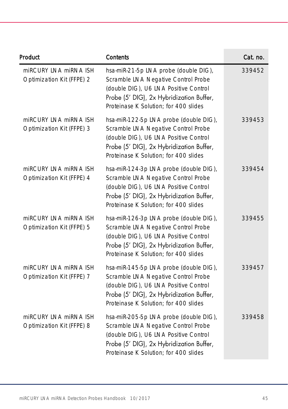| Product                                            | Contents                                                                                                                                                                                                    | Cat. no. |
|----------------------------------------------------|-------------------------------------------------------------------------------------------------------------------------------------------------------------------------------------------------------------|----------|
| miRCURY LNA miRNA ISH<br>Optimization Kit (FFPE) 2 | hsa-miR-21-5p LNA probe (double DIG),<br>Scramble LNA Negative Control Probe<br>(double DIG), U6 LNA Positive Control<br>Probe (5' DIG), 2x Hybridization Buffer,<br>Proteinase K Solution; for 400 slides  | 339452   |
| miRCURY LNA miRNA ISH<br>Optimization Kit (FFPE) 3 | hsa-miR-122-5p LNA probe (double DIG),<br>Scramble LNA Negative Control Probe<br>(double DIG), U6 LNA Positive Control<br>Probe (5' DIG), 2x Hybridization Buffer,<br>Proteinase K Solution; for 400 slides | 339453   |
| miRCURY LNA miRNA ISH<br>Optimization Kit (FFPE) 4 | hsa-miR-124-3p LNA probe (double DIG),<br>Scramble LNA Negative Control Probe<br>(double DIG), U6 LNA Positive Control<br>Probe (5' DIG), 2x Hybridization Buffer,<br>Proteinase K Solution; for 400 slides | 339454   |
| miRCURY LNA miRNA ISH<br>Optimization Kit (FFPE) 5 | hsa-miR-126-3p LNA probe (double DIG),<br>Scramble LNA Negative Control Probe<br>(double DIG), U6 LNA Positive Control<br>Probe (5' DIG), 2x Hybridization Buffer,<br>Proteinase K Solution; for 400 slides | 339455   |
| miRCURY LNA miRNA ISH<br>Optimization Kit (FFPE) 7 | hsa-miR-145-5p LNA probe (double DIG),<br>Scramble LNA Negative Control Probe<br>(double DIG), U6 LNA Positive Control<br>Probe (5' DIG), 2x Hybridization Buffer,<br>Proteinase K Solution; for 400 slides | 339457   |
| miRCURY LNA miRNA ISH<br>Optimization Kit (FFPE) 8 | hsa-miR-205-5p LNA probe (double DIG),<br>Scramble LNA Negative Control Probe<br>(double DIG), U6 LNA Positive Control<br>Probe (5' DIG), 2x Hybridization Buffer,<br>Proteinase K Solution; for 400 slides | 339458   |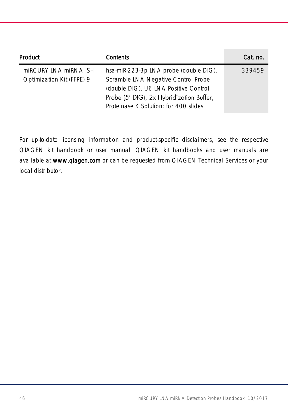| Product                   | Contents                                 | Cat. no. |
|---------------------------|------------------------------------------|----------|
| miRCURY INA miRNA ISH     | hsa-miR-223-3p LNA probe (double DIG),   | 339459   |
| Optimization Kit (FFPE) 9 | Scramble LNA Negative Control Probe      |          |
|                           | (double DIG), U6 LNA Positive Control    |          |
|                           | Probe (5' DIG), 2x Hybridization Buffer, |          |
|                           | Proteinase K Solution; for 400 slides    |          |

For up-to-date licensing information and product-specific disclaimers, see the respective QIAGEN kit handbook or user manual. QIAGEN kit handbooks and user manuals are available at www.qlagen.com or can be requested from QIAGEN Technical Services or your local distributor.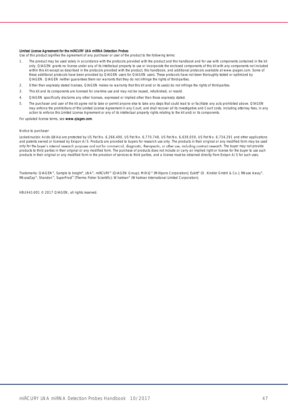#### Limited License Agreement for the miRCURY LNA miRNA Detection Probes

Use of this product signifies the agreement of any purchaser or user of the product to the following terms:

- 1. The product may be used solely in accordance with the protocols provided with the product and this handbook and for use with components contained in the kit only. QIAGEN grants no license under any of its intellectual property to use or incorporate the enclosed components of this kit with any components not included within this kit except as described in the protocols provided with the product, this handbook, and additional protocols available at www.qiagen.com. Some of these additional protocols have been provided by QIAGEN users for QIAGEN users. These protocols have not been thoroughly tested or optimized by QIAGEN. QIAGEN neither guarantees them nor warrants that they do not infringe the rights of third-parties.
- 2. Other than expressly stated licenses, QIAGEN makes no warranty that this kit and/or its use(s) do not infringe the rights of third-parties.
- 3. This kit and its components are licensed for one-time use and may not be reused, refurbished, or resold.
- 4. QIAGEN specifically disclaims any other licenses, expressed or implied other than those expressly stated.
- 5. The purchaser and user of the kit agree not to take or permit anyone else to take any steps that could lead to or facilitate any acts prohibited above. QIAGEN may enforce the prohibitions of this Limited License Agreement in any Court, and shall recover all its investigative and Court costs, including attorney fees, in any action to enforce this Limited License Agreement or any of its intellectual property rights relating to the kit and/or its components.

For updated license terms, see www.qlagen.com

#### Notice to purchaser

Locked-nucleic Acids (LNAs) are protected by US Pat No. 6,268,490, US Pat No. 6,770,748, US Pat No. 6,639,059, US Pat No. 6,734,291 and other applications and patents owned or licensed by Exigon A/S. Products are provided to buyers for research use only. The products in their original or any modified form may be used only for the buyer's internal research purposes and not for commercial, diagnostic, therapeutic, or other use, including contract research. The buyer may not provide products to third parties in their original or any modified form. The purchase of products does not include or carry an implied right or license for the buyer to use such products in their original or any modified form in the provision of services to third parties, and a license must be obtained directly from Exiqon A/S for such uses.

Trademarks: QIAGEN®, Sample to Insight®, LNA®, miRCURY® (QIAGEN Group); Milli-Q® (Millipore Corporation); Eukitt® (O. Kindler GmbH & Co.); RNase Away®,<br>RNaseZap®, Shandon™, SuperFrost™ (Thermo Fisher Scientific); Whatman®

HB-2441-001 © 2017 QIAGEN, all rights reserved.